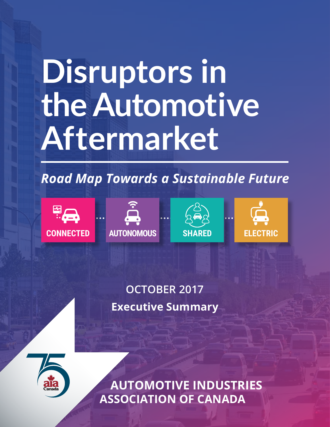# **Disruptors in the Automotive Aftermarket**

### *Road Map Towards a Sustainable Future*









### **OCTOBER 2017 Executive Summary**



*Disruptors in the Automotive Aftermarket: A road map towards a sustainable future* **1 AUTOMOTIVE INDUSTRIES ASSOCIATION OF CANADA**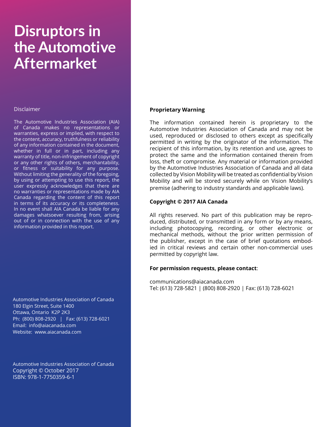### **Disruptors in the Automotive Aftermarket**

#### **Disclaimer**

The Automotive Industries Association (AIA) of Canada makes no representations or warranties, express or implied, with respect to the content, accuracy, truthfulness or reliability of any information contained in the document, whether in full or in part, including any warranty of title, non-infringement of copyright or any other rights of others, merchantability, or fitness or suitability for any purpose. Without limiting the generality of the foregoing, by using or attempting to use this report, the user expressly acknowledges that there are no warranties or representations made by AIA Canada regarding the content of this report in terms of its accuracy or its completeness. In no event shall AIA Canada be liable for any damages whatsoever resulting from, arising out of or in connection with the use of any information provided in this report.

Automotive Industries Association of Canada 180 Elgin Street, Suite 1400 Ottawa, Ontario K2P 2K3 Ph: (800) 808-2920 | Fax: (613) 728-6021 Email: info@aiacanada.com Website: www.aiacanada.com

Automotive Industries Association of Canada Copyright © October 2017 ISBN: 978-1-7750359-6-1

#### **Proprietary Warning**

The information contained herein is proprietary to the Automotive Industries Association of Canada and may not be used, reproduced or disclosed to others except as specifically permitted in writing by the originator of the information. The recipient of this information, by its retention and use, agrees to protect the same and the information contained therein from loss, theft or compromise. Any material or information provided by the Automotive Industries Association of Canada and all data collected by Vision Mobility will be treated as confidential by Vision Mobility and will be stored securely while on Vision Mobility's premise (adhering to industry standards and applicable laws).

#### **Copyright © 2017 AIA Canada**

All rights reserved. No part of this publication may be reproduced, distributed, or transmitted in any form or by any means, including photocopying, recording, or other electronic or mechanical methods, without the prior written permission of the publisher, except in the case of brief quotations embodied in critical reviews and certain other non-commercial uses permitted by copyright law.

#### **For permission requests, please contact**:

communications@aiacanada.com Tel: (613) 728-5821 | (800) 808-2920 | Fax: (613) 728-6021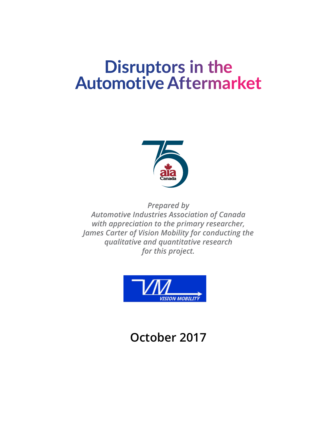### **Disruptors in the Automotive Aftermarket**



*Prepared by Automotive Industries Association of Canada with appreciation to the primary researcher, James Carter of Vision Mobility for conducting the qualitative and quantitative research for this project.*



### **October 2017**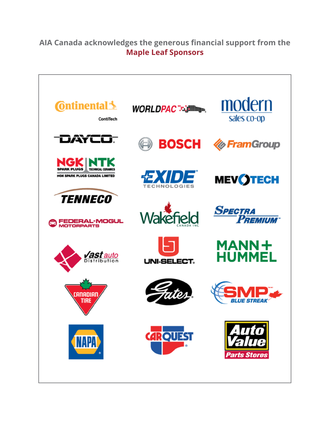#### **AIA Canada acknowledges the generous financial support from the Maple Leaf Sponsors**

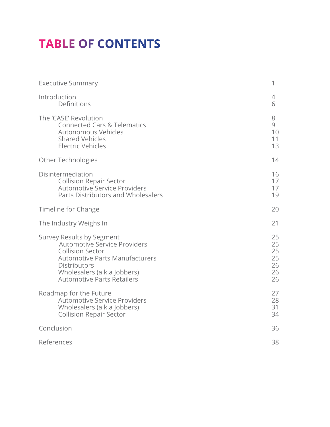### **TABLE OF CONTENTS**

| <b>Executive Summary</b>                                                                                                                                                                                                        | 1                                      |
|---------------------------------------------------------------------------------------------------------------------------------------------------------------------------------------------------------------------------------|----------------------------------------|
| Introduction<br>Definitions                                                                                                                                                                                                     | 4<br>6                                 |
| The 'CASE' Revolution<br><b>Connected Cars &amp; Telematics</b><br><b>Autonomous Vehicles</b><br><b>Shared Vehicles</b><br><b>Electric Vehicles</b>                                                                             | 8<br>9<br>10<br>11<br>13               |
| <b>Other Technologies</b>                                                                                                                                                                                                       | 14                                     |
| Disintermediation<br><b>Collision Repair Sector</b><br><b>Automotive Service Providers</b><br><b>Parts Distributors and Wholesalers</b>                                                                                         | 16<br>17<br>17<br>19                   |
| Timeline for Change                                                                                                                                                                                                             | 20                                     |
| The Industry Weighs In                                                                                                                                                                                                          | 21                                     |
| Survey Results by Segment<br><b>Automotive Service Providers</b><br><b>Collision Sector</b><br><b>Automotive Parts Manufacturers</b><br><b>Distributors</b><br>Wholesalers (a.k.a Jobbers)<br><b>Automotive Parts Retailers</b> | 25<br>25<br>25<br>25<br>26<br>26<br>26 |
| Roadmap for the Future<br><b>Automotive Service Providers</b><br>Wholesalers (a.k.a Jobbers)<br><b>Collision Repair Sector</b>                                                                                                  | 27<br>28<br>31<br>34                   |
| Conclusion                                                                                                                                                                                                                      | 36                                     |
| References                                                                                                                                                                                                                      | 38                                     |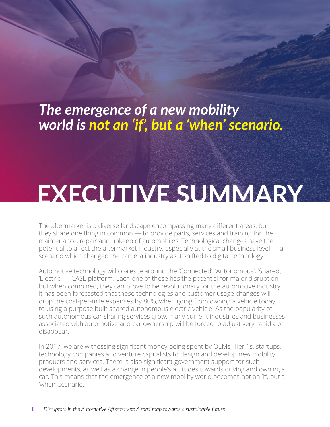### *The emergence of a new mobility world is not an 'if', but a 'when' scenario.*

## **EXECUTIVE SUMMARY**

The aftermarket is a diverse landscape encompassing many different areas, but they share one thing in common — to provide parts, services and training for the maintenance, repair and upkeep of automobiles. Technological changes have the potential to affect the aftermarket industry, especially at the small business level — a scenario which changed the camera industry as it shifted to digital technology.

Automotive technology will coalesce around the 'Connected', 'Autonomous', 'Shared', 'Electric' — CASE platform. Each one of these has the potential for major disruption, but when combined, they can prove to be revolutionary for the automotive industry. It has been forecasted that these technologies and customer usage changes will drop the cost-per-mile expenses by 80%, when going from owning a vehicle today to using a purpose built shared autonomous electric vehicle. As the popularity of such autonomous car sharing services grow, many current industries and businesses associated with automotive and car ownership will be forced to adjust very rapidly or disappear.

In 2017, we are witnessing significant money being spent by OEMs, Tier 1s, startups, technology companies and venture capitalists to design and develop new mobility products and services. There is also significant government support for such developments, as well as a change in people's attitudes towards driving and owning a car. This means that the emergence of a new mobility world becomes not an 'if', but a 'when' scenario.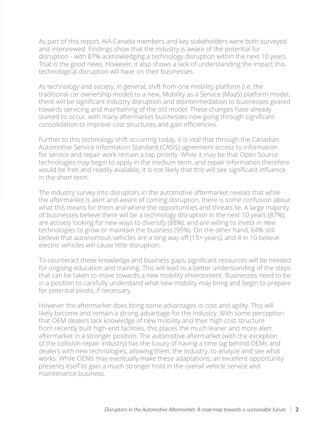As part of this report, AIA Canada members and key stakeholders were both surveyed and interviewed. Findings show that the industry is aware of the potential for disruption - with 87% acknowledging a technology disruption within the next 10 years. That is the good news. However, it also shows a lack of understanding the impact this technological disruption will have on their businesses.

As technology and society, in general, shift from one mobility platform (i.e. the traditional car ownership model) to a new, Mobility as a Service (MaaS) platform model, there will be significant industry disruption and disintermediation to businesses geared towards servicing and maintaining of the old model. These changes have already started to occur, with many aftermarket businesses now going through significant consolidation to improve cost structures and gain efficiencies.

Further to this technology shift occurring today, it is vital that through the Canadian Automotive Service Information Standard (CASIS) agreement access to information for service and repair work remain a top priority. While it may be that Open Source technologies may begin to apply in the medium term, and repair information therefore would be free and readily available, it is not likely that this will see significant influence in the short term.

The industry survey into disruptors in the automotive aftermarket reveals that while the aftermarket is alert and aware of coming disruption, there is some confusion about what this means for them and where the opportunities and threats lie. A large majority of businesses believe there will be a technology disruption in the next 10 years (87%), are actively looking for new ways to diversify (88%), and are willing to invest in new technologies to grow or maintain the business (95%). On the other hand, 64% still believe that autonomous vehicles are a long way off (15+ years), and 4 in 10 believe electric vehicles will cause little disruption.

To counteract these knowledge and business gaps, significant resources will be needed for ongoing education and training. This will lead to a better understanding of the steps that can be taken to move towards a new mobility environment. Businesses need to be in a position to carefully understand what new mobility may bring and begin to prepare for potential pivots, if necessary.

However the aftermarket does bring some advantages in cost and agility. This will likely become and remain a strong advantage for the industry. With some perception that OEM dealers lack knowledge of new mobility and their high cost structure from recently built high-end facilities, this places the much leaner and more alert aftermarket in a stronger position. The automotive aftermarket (with the exception of the collision repair industry) has the luxury of having a time lag behind OEMs and dealers with new technologies, allowing them, the industry, to analyze and see what works. While OEMs may eventually make these adaptations, an excellent opportunity presents itself to gain a much stronger hold in the overall vehicle service and maintenance business.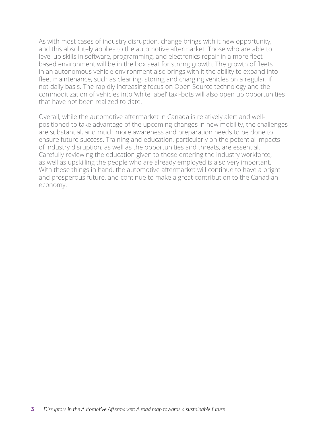As with most cases of industry disruption, change brings with it new opportunity, and this absolutely applies to the automotive aftermarket. Those who are able to level up skills in software, programming, and electronics repair in a more fleetbased environment will be in the box seat for strong growth. The growth of fleets in an autonomous vehicle environment also brings with it the ability to expand into fleet maintenance, such as cleaning, storing and charging vehicles on a regular, if not daily basis. The rapidly increasing focus on Open Source technology and the commoditization of vehicles into 'white label' taxi-bots will also open up opportunities that have not been realized to date.

Overall, while the automotive aftermarket in Canada is relatively alert and wellpositioned to take advantage of the upcoming changes in new mobility, the challenges are substantial, and much more awareness and preparation needs to be done to ensure future success. Training and education, particularly on the potential impacts of industry disruption, as well as the opportunities and threats, are essential. Carefully reviewing the education given to those entering the industry workforce, as well as upskilling the people who are already employed is also very important. With these things in hand, the automotive aftermarket will continue to have a bright and prosperous future, and continue to make a great contribution to the Canadian economy.